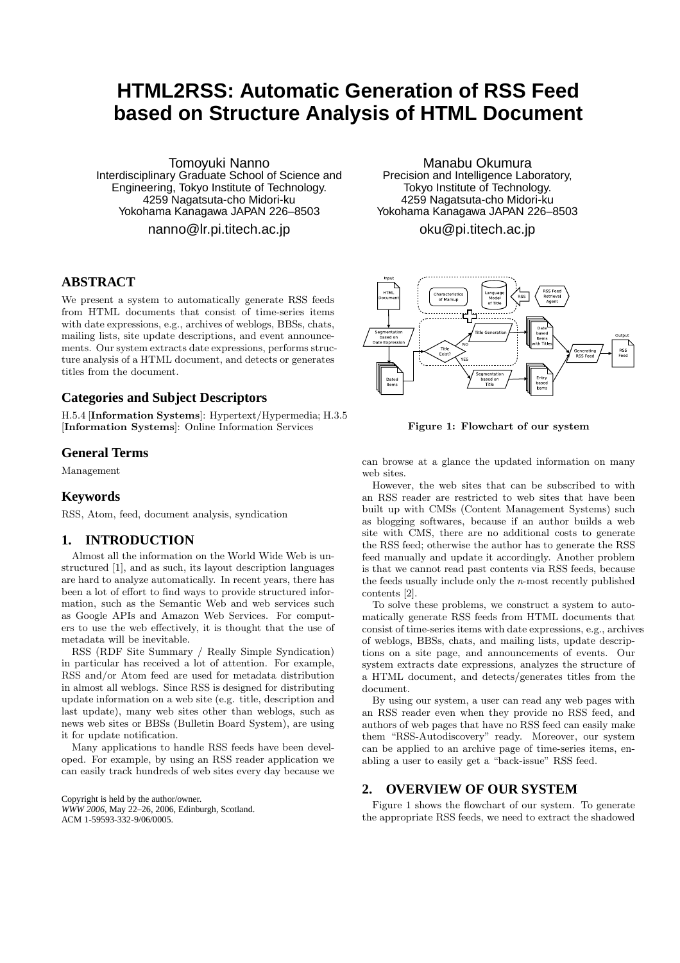# **HTML2RSS: Automatic Generation of RSS Feed based on Structure Analysis of HTML Document**

Tomoyuki Nanno Interdisciplinary Graduate School of Science and Engineering, Tokyo Institute of Technology. 4259 Nagatsuta-cho Midori-ku Yokohama Kanagawa JAPAN 226–8503

nanno@lr.pi.titech.ac.jp

# **ABSTRACT**

We present a system to automatically generate RSS feeds from HTML documents that consist of time-series items with date expressions, e.g., archives of weblogs, BBSs, chats, mailing lists, site update descriptions, and event announcements. Our system extracts date expressions, performs structure analysis of a HTML document, and detects or generates titles from the document.

## **Categories and Subject Descriptors**

H.5.4 [Information Systems]: Hypertext/Hypermedia; H.3.5 [Information Systems]: Online Information Services

# **General Terms**

Management

### **Keywords**

RSS, Atom, feed, document analysis, syndication

## **1. INTRODUCTION**

Almost all the information on the World Wide Web is unstructured [1], and as such, its layout description languages are hard to analyze automatically. In recent years, there has been a lot of effort to find ways to provide structured information, such as the Semantic Web and web services such as Google APIs and Amazon Web Services. For computers to use the web effectively, it is thought that the use of metadata will be inevitable.

RSS (RDF Site Summary / Really Simple Syndication) in particular has received a lot of attention. For example, RSS and/or Atom feed are used for metadata distribution in almost all weblogs. Since RSS is designed for distributing update information on a web site (e.g. title, description and last update), many web sites other than weblogs, such as news web sites or BBSs (Bulletin Board System), are using it for update notification.

Many applications to handle RSS feeds have been developed. For example, by using an RSS reader application we can easily track hundreds of web sites every day because we

Copyright is held by the author/owner. *WWW 2006,* May 22–26, 2006, Edinburgh, Scotland. ACM 1-59593-332-9/06/0005.

Manabu Okumura Precision and Intelligence Laboratory, Tokyo Institute of Technology. 4259 Nagatsuta-cho Midori-ku Yokohama Kanagawa JAPAN 226–8503

oku@pi.titech.ac.jp



Figure 1: Flowchart of our system

can browse at a glance the updated information on many web sites.

However, the web sites that can be subscribed to with an RSS reader are restricted to web sites that have been built up with CMSs (Content Management Systems) such as blogging softwares, because if an author builds a web site with CMS, there are no additional costs to generate the RSS feed; otherwise the author has to generate the RSS feed manually and update it accordingly. Another problem is that we cannot read past contents via RSS feeds, because the feeds usually include only the  $n$ -most recently published contents [2].

To solve these problems, we construct a system to automatically generate RSS feeds from HTML documents that consist of time-series items with date expressions, e.g., archives of weblogs, BBSs, chats, and mailing lists, update descriptions on a site page, and announcements of events. Our system extracts date expressions, analyzes the structure of a HTML document, and detects/generates titles from the document.

By using our system, a user can read any web pages with an RSS reader even when they provide no RSS feed, and authors of web pages that have no RSS feed can easily make them "RSS-Autodiscovery" ready. Moreover, our system can be applied to an archive page of time-series items, enabling a user to easily get a "back-issue" RSS feed.

#### **2. OVERVIEW OF OUR SYSTEM**

Figure 1 shows the flowchart of our system. To generate the appropriate RSS feeds, we need to extract the shadowed